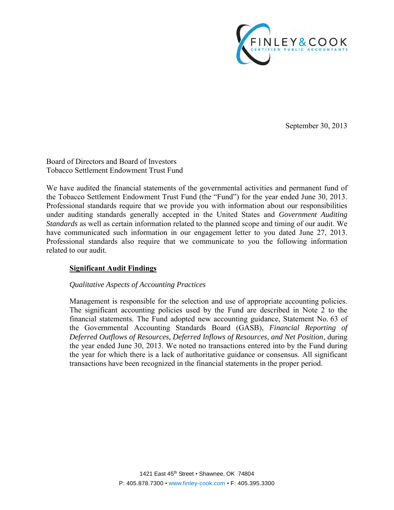

September 30, 2013

Board of Directors and Board of Investors Tobacco Settlement Endowment Trust Fund

We have audited the financial statements of the governmental activities and permanent fund of the Tobacco Settlement Endowment Trust Fund (the "Fund") for the year ended June 30, 2013. Professional standards require that we provide you with information about our responsibilities under auditing standards generally accepted in the United States and *Government Auditing Standards* as well as certain information related to the planned scope and timing of our audit. We have communicated such information in our engagement letter to you dated June 27, 2013. Professional standards also require that we communicate to you the following information related to our audit.

## **Significant Audit Findings**

## *Qualitative Aspects of Accounting Practices*

Management is responsible for the selection and use of appropriate accounting policies. The significant accounting policies used by the Fund are described in Note 2 to the financial statements. The Fund adopted new accounting guidance, Statement No. 63 of the Governmental Accounting Standards Board (GASB), *Financial Reporting of Deferred Outflows of Resources, Deferred Inflows of Resources, and Net Position*, during the year ended June 30, 2013. We noted no transactions entered into by the Fund during the year for which there is a lack of authoritative guidance or consensus. All significant transactions have been recognized in the financial statements in the proper period.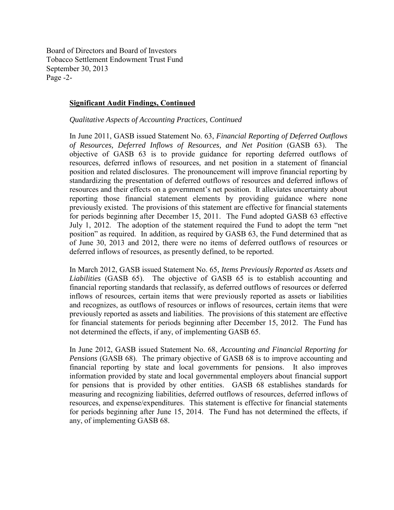Board of Directors and Board of Investors Tobacco Settlement Endowment Trust Fund September 30, 2013 Page -2-

#### **Significant Audit Findings, Continued**

*Qualitative Aspects of Accounting Practices, Continued* 

In June 2011, GASB issued Statement No. 63, *Financial Reporting of Deferred Outflows of Resources, Deferred Inflows of Resources, and Net Position* (GASB 63). The objective of GASB 63 is to provide guidance for reporting deferred outflows of resources, deferred inflows of resources, and net position in a statement of financial position and related disclosures. The pronouncement will improve financial reporting by standardizing the presentation of deferred outflows of resources and deferred inflows of resources and their effects on a government's net position. It alleviates uncertainty about reporting those financial statement elements by providing guidance where none previously existed. The provisions of this statement are effective for financial statements for periods beginning after December 15, 2011. The Fund adopted GASB 63 effective July 1, 2012. The adoption of the statement required the Fund to adopt the term "net position" as required. In addition, as required by GASB 63, the Fund determined that as of June 30, 2013 and 2012, there were no items of deferred outflows of resources or deferred inflows of resources, as presently defined, to be reported.

In March 2012, GASB issued Statement No. 65*, Items Previously Reported as Assets and Liabilities* (GASB 65). The objective of GASB 65 is to establish accounting and financial reporting standards that reclassify, as deferred outflows of resources or deferred inflows of resources, certain items that were previously reported as assets or liabilities and recognizes, as outflows of resources or inflows of resources, certain items that were previously reported as assets and liabilities. The provisions of this statement are effective for financial statements for periods beginning after December 15, 2012. The Fund has not determined the effects, if any, of implementing GASB 65.

In June 2012, GASB issued Statement No. 68, *Accounting and Financial Reporting for Pensions* (GASB 68). The primary objective of GASB 68 is to improve accounting and financial reporting by state and local governments for pensions. It also improves information provided by state and local governmental employers about financial support for pensions that is provided by other entities. GASB 68 establishes standards for measuring and recognizing liabilities, deferred outflows of resources, deferred inflows of resources, and expense/expenditures. This statement is effective for financial statements for periods beginning after June 15, 2014. The Fund has not determined the effects, if any, of implementing GASB 68.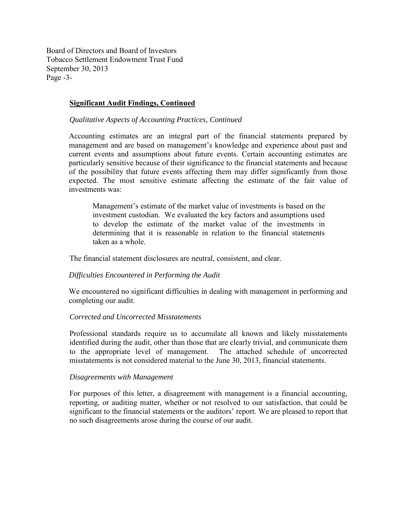Board of Directors and Board of Investors Tobacco Settlement Endowment Trust Fund September 30, 2013 Page -3-

### **Significant Audit Findings, Continued**

*Qualitative Aspects of Accounting Practices, Continued* 

Accounting estimates are an integral part of the financial statements prepared by management and are based on management's knowledge and experience about past and current events and assumptions about future events. Certain accounting estimates are particularly sensitive because of their significance to the financial statements and because of the possibility that future events affecting them may differ significantly from those expected. The most sensitive estimate affecting the estimate of the fair value of investments was:

Management's estimate of the market value of investments is based on the investment custodian. We evaluated the key factors and assumptions used to develop the estimate of the market value of the investments in determining that it is reasonable in relation to the financial statements taken as a whole.

The financial statement disclosures are neutral, consistent, and clear.

## *Difficulties Encountered in Performing the Audit*

We encountered no significant difficulties in dealing with management in performing and completing our audit.

#### *Corrected and Uncorrected Misstatements*

Professional standards require us to accumulate all known and likely misstatements identified during the audit, other than those that are clearly trivial, and communicate them to the appropriate level of management. The attached schedule of uncorrected misstatements is not considered material to the June 30, 2013, financial statements.

#### *Disagreements with Management*

For purposes of this letter, a disagreement with management is a financial accounting, reporting, or auditing matter, whether or not resolved to our satisfaction, that could be significant to the financial statements or the auditors' report. We are pleased to report that no such disagreements arose during the course of our audit.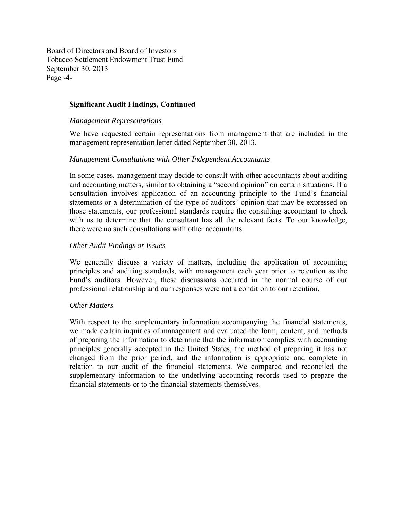Board of Directors and Board of Investors Tobacco Settlement Endowment Trust Fund September 30, 2013 Page -4-

## **Significant Audit Findings, Continued**

#### *Management Representations*

We have requested certain representations from management that are included in the management representation letter dated September 30, 2013.

#### *Management Consultations with Other Independent Accountants*

In some cases, management may decide to consult with other accountants about auditing and accounting matters, similar to obtaining a "second opinion" on certain situations. If a consultation involves application of an accounting principle to the Fund's financial statements or a determination of the type of auditors' opinion that may be expressed on those statements, our professional standards require the consulting accountant to check with us to determine that the consultant has all the relevant facts. To our knowledge, there were no such consultations with other accountants.

#### *Other Audit Findings or Issues*

We generally discuss a variety of matters, including the application of accounting principles and auditing standards, with management each year prior to retention as the Fund's auditors. However, these discussions occurred in the normal course of our professional relationship and our responses were not a condition to our retention.

## *Other Matters*

With respect to the supplementary information accompanying the financial statements, we made certain inquiries of management and evaluated the form, content, and methods of preparing the information to determine that the information complies with accounting principles generally accepted in the United States, the method of preparing it has not changed from the prior period, and the information is appropriate and complete in relation to our audit of the financial statements. We compared and reconciled the supplementary information to the underlying accounting records used to prepare the financial statements or to the financial statements themselves.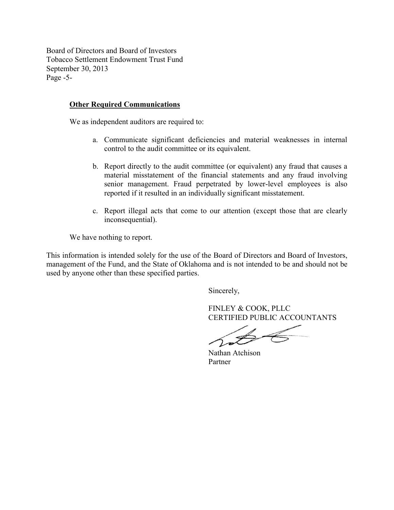Board of Directors and Board of Investors Tobacco Settlement Endowment Trust Fund September 30, 2013 Page -5-

## **Other Required Communications**

We as independent auditors are required to:

- a. Communicate significant deficiencies and material weaknesses in internal control to the audit committee or its equivalent.
- b. Report directly to the audit committee (or equivalent) any fraud that causes a material misstatement of the financial statements and any fraud involving senior management. Fraud perpetrated by lower-level employees is also reported if it resulted in an individually significant misstatement.
- c. Report illegal acts that come to our attention (except those that are clearly inconsequential).

We have nothing to report.

This information is intended solely for the use of the Board of Directors and Board of Investors, management of the Fund, and the State of Oklahoma and is not intended to be and should not be used by anyone other than these specified parties.

Sincerely,

FINLEY & COOK, PLLC CERTIFIED PUBLIC ACCOUNTANTS

Nathan Atchison Partner